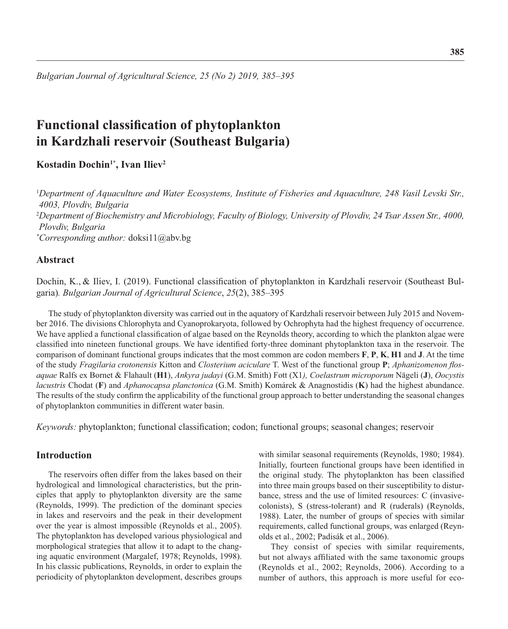*Bulgarian Journal of Agricultural Science, 25 (No 2) 2019, 385–395*

# **Functional classification of phytoplankton in Kardzhali reservoir (Southeast Bulgaria)**

Kostadin Dochin<sup>1\*</sup>, Ivan Iliev<sup>2</sup>

<sup>1</sup>*Department of Aquaculture and Water Ecosystems, Institute of Fisheries and Aquaculture, 248 Vasil Levski Str., 4003, Plovdiv, Bulgaria* <sup>2</sup>*Department of Biochemistry and Microbiology, Faculty of Biology, University of Plovdiv, 24 Tsar Assen Str., 4000, Plovdiv, Bulgaria \* Corresponding author:* doksi11@abv.bg

# **Abstract**

Dochin, K., & Iliev, I. (2019). Functional classification of phytoplankton in Kardzhali reservoir (Southeast Bulgaria)*. Bulgarian Journal of Agricultural Science*, *25*(2), 385–395

The study of phytoplankton diversity was carried out in the aquatory of Kardzhali reservoir between July 2015 and November 2016. The divisions Chlorophyta and Cyanoprokaryota, followed by Ochrophyta had the highest frequency of occurrence. We have applied a functional classification of algae based on the Reynolds theory, according to which the plankton algae were classified into nineteen functional groups. We have identified forty-three dominant phytoplankton taxa in the reservoir. The comparison of dominant functional groups indicates that the most common are codon members **F**, **P**, **K**, **H1** and **J**. At the time of the study *Fragilaria crotonensis* Kitton and *Closterium aciculare* T. West of the functional group **P**; *Aphanizomenon flosaquae* Ralfs ex Bornet & Flahault (**H1**), *Ankyra judayi* (G.M. Smith) Fott (Х1*), Coelastrum microporum* Nägeli (**J**), *Oocystis lacustris* Chodat (**F**) and *Aphanocapsa planctonica* (G.M. Smith) Komárek & Anagnostidis (**K**) had the highest abundance. The results of the study confirm the applicability of the functional group approach to better understanding the seasonal changes of phytoplankton communities in different water basin.

*Keywords:* phytoplankton; functional classification; codon; functional groups; seasonal changes; reservoir

# **Introduction**

The reservoirs often differ from the lakes based on their hydrological and limnological characteristics, but the principles that apply to phytoplankton diversity are the same (Reynolds, 1999). The prediction of the dominant species in lakes and reservoirs and the peak in their development over the year is almost impossible (Reynolds et al., 2005). The phytoplankton has developed various physiological and morphological strategies that allow it to adapt to the changing aquatic environment (Margalef, 1978; Reynolds, 1998). In his classic publications, Reynolds, in order to explain the periodicity of phytoplankton development, describes groups

with similar seasonal requirements (Reynolds, 1980; 1984). Initially, fourteen functional groups have been identified in the original study. The phytoplankton has been classified into three main groups based on their susceptibility to disturbance, stress and the use of limited resources: C (invasivecolonists), S (stress-tolerant) and R (ruderals) (Reynolds, 1988). Later, the number of groups of species with similar requirements, called functional groups, was enlarged (Reynolds et al., 2002; Padisák et al., 2006).

They consist of species with similar requirements, but not always affiliated with the same taxonomic groups (Reynolds et al., 2002; Reynolds, 2006). According to a number of authors, this approach is more useful for eco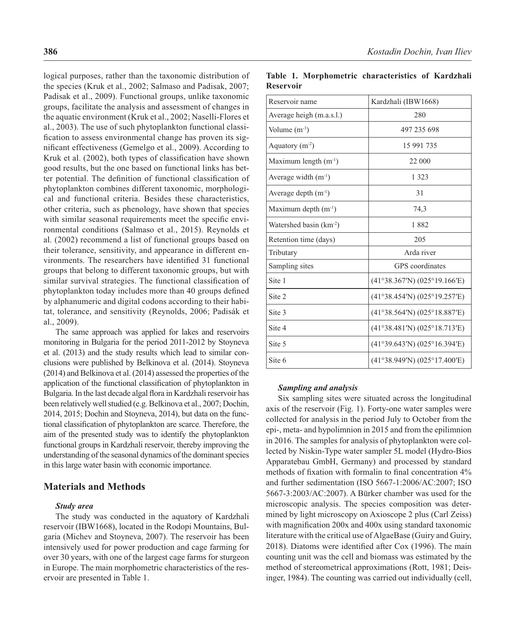logical purposes, rather than the taxonomic distribution of the species (Kruk et al., 2002; Salmaso and Padisak, 2007; Padisak et al., 2009). Functional groups, unlike taxonomic groups, facilitate the analysis and assessment of changes in the aquatic environment (Kruk et al., 2002; Naselli-Flores et al., 2003). The use of such phytoplankton functional classification to assess environmental change has proven its significant effectiveness (Gemelgo et al., 2009). According to Kruk et al. (2002), both types of classification have shown good results, but the one based on functional links has better potential. The definition of functional classification of phytoplankton combines different taxonomic, morphological and functional criteria. Besides these characteristics, other criteria, such as phenology, have shown that species with similar seasonal requirements meet the specific environmental conditions (Salmaso et al., 2015). Reynolds et al. (2002) recommend a list of functional groups based on their tolerance, sensitivity, and appearance in different environments. The researchers have identified 31 functional groups that belong to different taxonomic groups, but with similar survival strategies. The functional classification of phytoplankton today includes more than 40 groups defined by alphanumeric and digital codons according to their habitat, tolerance, and sensitivity (Reynolds, 2006; Padisák et al., 2009).

The same approach was applied for lakes and reservoirs monitoring in Bulgaria for the period 2011-2012 by Stoyneva et al. (2013) and the study results which lead to similar conclusions were published by Belkinova et al. (2014). Stoyneva (2014) and Belkinova et al. (2014) assessed the properties of the application of the functional classification of phytoplankton in Bulgaria. In the last decade algal flora in Kardzhali reservoir has been relatively well studied (e.g. Belkinova et al., 2007; Dochin, 2014, 2015; Dochin and Stoyneva, 2014), but data on the functional classification of phytoplankton are scarce. Therefore, the aim of the presented study was to identify the phytoplankton functional groups in Kardzhali reservoir, thereby improving the understanding of the seasonal dynamics of the dominant species in this large water basin with economic importance.

# **Materials and Methods**

### *Study area*

The study was conducted in the aquatory of Kardzhali reservoir (IBW1668), located in the Rodopi Mountains, Bulgaria (Michev and Stoyneva, 2007). The reservoir has been intensively used for power production and cage farming for over 30 years, with one of the largest cage farms for sturgeon in Europe. The main morphometric characteristics of the reservoir are presented in Table 1.

| Reservoir name                      | Kardzhali (IBW1668)              |
|-------------------------------------|----------------------------------|
| Average heigh (m.a.s.l.)            | 280                              |
| Volume $(m^{-3})$                   | 497 235 698                      |
| Aquatory $(m^{-2})$                 | 15 991 735                       |
| Maximum length $(m^{-1})$           | 22 000                           |
| Average width $(m^{-1})$            | 1 3 2 3                          |
| Average depth $(m^{-1})$            | 31                               |
| Maximum depth $(m^{-1})$            | 74,3                             |
| Watershed basin (km <sup>-2</sup> ) | 1882                             |
| Retention time (days)               | 205                              |
| Tributary                           | Arda river                       |
| Sampling sites                      | <b>GPS</b> coordinates           |
| Site 1                              | (41°38.367'N) (025°19.166'E)     |
| Site 2                              | (41°38.454'N) (025°19.257'E)     |
| Site 3                              | $(41°38.564'N)$ $(025°18.887'E)$ |
| Site 4                              | (41°38.481'N) (025°18.713'E)     |
| Site 5                              | (41°39.643'N) (025°16.394'E)     |
| Site 6                              | (41°38.949'N) (025°17.400'E)     |

#### **Table 1. Morphometric characteristics of Kardzhali Reservoir**

#### *Sampling and analysis*

Six sampling sites were situated across the longitudinal axis of the reservoir (Fig. 1). Forty-one water samples were collected for analysis in the period July to October from the epi-, meta- and hypolimnion in 2015 and from the epilimnion in 2016. The samples for analysis of phytoplankton were collected by Niskin-Type water sampler 5L model (Hydro-Bios Apparatebau GmbH, Germany) and processed by standard methods of fixation with formal in to final concentration  $4\%$ and further sedimentation (ISO 5667-1:2006/AC:2007; ISO 5667-3:2003/AC:2007). A Bürker chamber was used for the microscopic analysis. The species composition was determined by light microscopy on Axioscope 2 plus (Carl Zeiss) with magnification 200x and 400x using standard taxonomic literature with the critical use of AlgaeBase (Guiry and Guiry, 2018). Diatoms were identified after Cox (1996). The main counting unit was the cell and biomass was estimated by the method of stereometrical approximations (Rott, 1981; Deisinger, 1984). The counting was carried out individually (cell,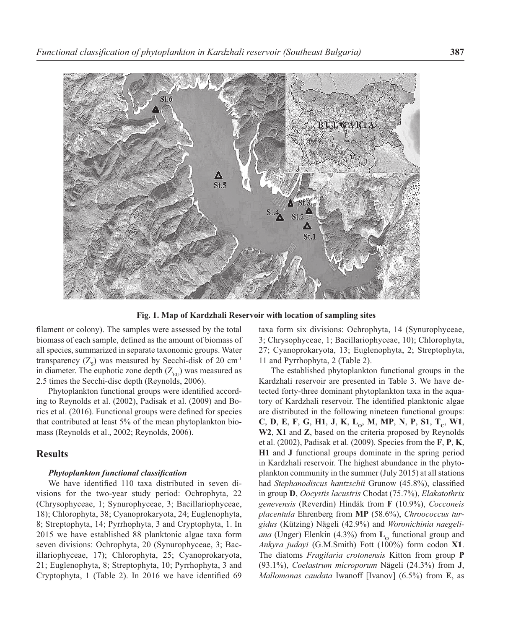

Fig. 1. Map of Kardzhali Reservoir with location of sampling sites

filament or colony). The samples were assessed by the total biomass of each sample, defined as the amount of biomass of all species, summarized in separate taxonomic groups. Water transparency  $(Z_s)$  was measured by Secchi-disk of 20 cm<sup>-1</sup> in diameter. The euphotic zone depth  $(Z_{\text{eff}})$  was measured as 2.5 times the Secchi-disc depth (Reynolds, 2006).

Phytoplankton functional groups were identified according to Reynolds et al. (2002), Padisak et al. (2009) and Borics et al. (2016). Functional groups were defined for species that contributed at least 5% of the mean phytoplankton biomass (Reynolds et al., 2002; Reynolds, 2006).

### **Results**

#### **Phytoplankton functional classification**

We have identified 110 taxa distributed in seven divisions for the two-year study period: Ochrophyta, 22 (Chrysophyceae, 1; Synurophyceae, 3; Bacillariophyceae, 18); Chlorophyta, 38; Cyanoprokaryota, 24; Euglenophyta, 8; Streptophyta, 14; Pyrrhophyta, 3 and Cryptophyta, 1. In 2015 we have established 88 planktonic algae taxa form seven divisions: Ochrophyta, 20 (Synurophyceae, 3; Bacillariophyceae, 17); Chlorophyta, 25; Cyanoprokaryota, 21; Euglenophyta, 8; Streptophyta, 10; Pyrrhophyta, 3 and Cryptophyta,  $1$  (Table 2). In 2016 we have identified 69 taxa form six divisions: Ochrophyta, 14 (Synurophyceae, 3; Chrysophyceae, 1; Bacillariophyceae, 10); Chlorophyta, 27; Cyanoprokaryota, 13; Euglenophyta, 2; Streptophyta, 11 and Pyrrhophyta, 2 (Table 2).

The established phytoplankton functional groups in the Kardzhali reservoir are presented in Table 3. We have detected forty-three dominant phytoplankton taxa in the aquatory of Kardzhali reservoir. The identified planktonic algae are distributed in the following nineteen functional groups: **C**, **D**, **E**, **F**, **G**, **H1**, **J**, **K**, **LO**, **М**, **МР**, **N**, **P**, **S1**, **TC**, **W1**, **W2**, **X1** and **Z**, based on the criteria proposed by Reynolds et al. (2002), Padisak et al. (2009). Species from the **F**, **P**, **K**, **H1** and **J** functional groups dominate in the spring period in Kardzhali reservoir. The highest abundance in the phytoplankton community in the summer (July 2015) at all stations had *Stephanodiscus hantzschii* Grunow (45.8%), classified in group **D**, *Oocystis lacustris* Chodat (75.7%), *Elakatothrix genevensis* (Reverdin) Hindák from **F** (10.9%), *Cocconeis placentula* Ehrenberg from **MP** (58.6%), *Chroococcus turgidus* (Kützing) Nägeli (42.9%) and *Woronichinia naegeliana* (Unger) Elenkin (4.3%) from  $\mathbf{L}_{\alpha}$  functional group and *Ankyra judayi* (G.M.Smith) Fott (100%) form codon **X1**. The diatoms *Fragilaria crotonensis* Kitton from group **P** (93.1%), *Coelastrum microporum* Nägeli (24.3%) from **J**, *Mallomonas caudata* Iwanoff [Ivanov] (6.5%) from **E**, as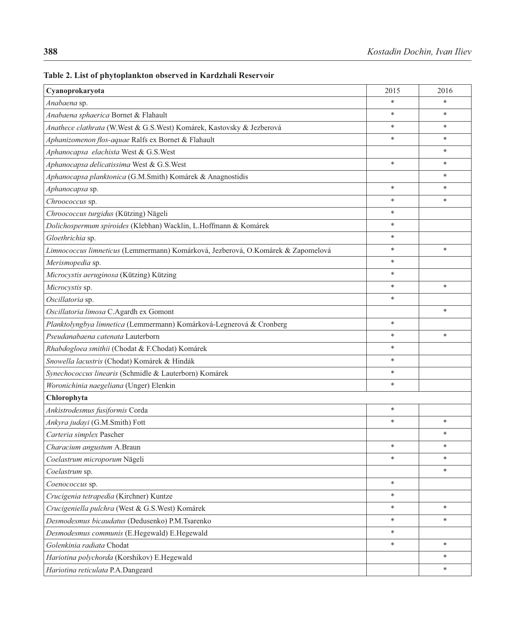| Cyanoprokaryota                                                                  | 2015   | 2016   |
|----------------------------------------------------------------------------------|--------|--------|
| Anabaena sp.                                                                     | $\ast$ | *      |
| Anabaena sphaerica Bornet & Flahault                                             | $\ast$ | *      |
| Anathece clathrata (W.West & G.S.West) Komárek, Kastovsky & Jezberová            | $\ast$ | $\ast$ |
| Aphanizomenon flos-aquae Ralfs ex Bornet & Flahault                              | $\ast$ | *      |
| Aphanocapsa elachista West & G.S.West                                            |        | *      |
| Aphanocapsa delicatissima West & G.S.West                                        | $\ast$ | *      |
| Aphanocapsa planktonica (G.M.Smith) Komárek & Anagnostidis                       |        | *      |
| Aphanocapsa sp.                                                                  | $\ast$ | $\ast$ |
| Chroococcus sp.                                                                  | $\ast$ | *      |
| Chroococcus turgidus (Kützing) Nägeli                                            | $\ast$ |        |
| Dolichospermum spiroides (Klebhan) Wacklin, L.Hoffmann & Komárek                 | $\ast$ |        |
| Gloethrichia sp.                                                                 | $\ast$ |        |
| Limnococcus limneticus (Lemmermann) Komárková, Jezberová, O.Komárek & Zapomelová | $\ast$ | $\ast$ |
| Merismopedia sp.                                                                 | *      |        |
| Microcystis aeruginosa (Kützing) Kützing                                         | $\ast$ |        |
| Microcystis sp.                                                                  | $\ast$ | $\ast$ |
| Oscillatoria sp.                                                                 | $\ast$ |        |
| Oscillatoria limosa C.Agardh ex Gomont                                           |        | $\ast$ |
| Planktolyngbya limnetica (Lemmermann) Komárková-Legnerová & Cronberg             | *      |        |
| Pseudanabaena catenata Lauterborn                                                | $\ast$ | *      |
| Rhabdogloea smithii (Chodat & F.Chodat) Komárek                                  | $\ast$ |        |
| Snowella lacustris (Chodat) Komárek & Hindák                                     | $\ast$ |        |
| Synechococcus linearis (Schmidle & Lauterborn) Komárek                           | $\ast$ |        |
| Woronichinia naegeliana (Unger) Elenkin                                          | $\ast$ |        |
| Chlorophyta                                                                      |        |        |
| Ankistrodesmus fusiformis Corda                                                  | $\ast$ |        |
| Ankyra judayi (G.M.Smith) Fott                                                   | $\ast$ | *      |
| Carteria simplex Pascher                                                         |        | *      |
| Characium angustum A.Braun                                                       | *      | *      |
| Coelastrum microporum Nägeli                                                     | $\ast$ | *      |
| Coelastrum sp.                                                                   |        | *      |
| Coenococcus sp.                                                                  | $\ast$ |        |
| Crucigenia tetrapedia (Kirchner) Kuntze                                          | $\ast$ |        |
| Crucigeniella pulchra (West & G.S.West) Komárek                                  | $\ast$ | *      |
| Desmodesmus bicaudatus (Dedusenko) P.M.Tsarenko                                  | $\ast$ | $\ast$ |
| Desmodesmus communis (E.Hegewald) E.Hegewald                                     | $\ast$ |        |
| Golenkinia radiata Chodat                                                        | $\ast$ | *      |
| Hariotina polychorda (Korshikov) E.Hegewald                                      |        | *      |
| Hariotina reticulata P.A.Dangeard                                                |        | *      |

# **Table 2. List of phytoplankton observed in Kardzhali Reservoir**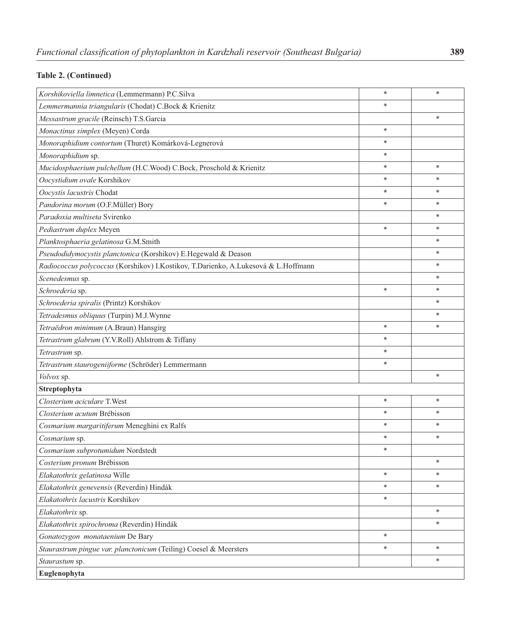# **Table 2. (Continued)**

| Korshikoviella limnetica (Lemmermann) P.C.Silva                                    | $\ast$ | *      |
|------------------------------------------------------------------------------------|--------|--------|
| Lemmermannia triangularis (Chodat) C.Bock & Krienitz                               | *      |        |
| Messastrum gracile (Reinsch) T.S.Garcia                                            |        | *      |
| Monactinus simplex (Meyen) Corda                                                   | $\ast$ |        |
| Monoraphidium contortum (Thuret) Komárková-Legnerová                               | $\ast$ |        |
| Monoraphidium sp.                                                                  | $\ast$ |        |
| Mucidosphaerium pulchellum (H.C.Wood) C.Bock, Proschold & Krienitz                 | ∗      | *      |
| Oocystidium ovale Korshikov                                                        | $\ast$ | *      |
| Oocystis lacustris Chodat                                                          | $\ast$ | *      |
| Pandorina morum (O.F.Müller) Bory                                                  | $\ast$ | *      |
| Paradoxia multiseta Svirenko                                                       |        | *      |
| Pediastrum duplex Meyen                                                            | $\ast$ | *      |
| Planktosphaeria gelatinosa G.M.Smith                                               |        | *      |
| Pseudodidymocystis planctonica (Korshikov) E.Hegewald & Deason                     |        | *      |
| Radiococcus polycoccus (Korshikov) I.Kostikov, T.Darienko, A.Lukesová & L.Hoffmann |        | *      |
| Scenedesmus sp.                                                                    |        | *      |
| Schroederia sp.                                                                    | $\ast$ | *      |
| Schroederia spiralis (Printz) Korshikov                                            |        | *      |
| Tetradesmus obliquus (Turpin) M.J.Wynne                                            |        | *      |
| Tetraëdron minimum (A.Braun) Hansgirg                                              | $\ast$ | *      |
| Tetrastrum glabrum (Y.V.Roll) Ahlstrom & Tiffany                                   | $\ast$ |        |
| Tetrastrum sp.                                                                     | $\ast$ |        |
| Tetrastrum staurogeniiforme (Schröder) Lemmermann                                  | $\ast$ |        |
| Volvox sp.                                                                         |        | *      |
| Streptophyta                                                                       |        |        |
| Closterium aciculare T.West                                                        | $\ast$ | *      |
| Closterium acutum Brébisson                                                        | ∗      | *      |
| Cosmarium margaritiferum Meneghini ex Ralfs                                        | $\ast$ | *      |
| Cosmarium sp.                                                                      | $\ast$ | *      |
| Cosmarium subprotumidum Nordstedt                                                  | $\ast$ |        |
| Costerium pronum Brébisson                                                         |        | *      |
| Elakatothrix gelatinosa Wille                                                      | ∗      | *      |
| Elakatothrix genevensis (Reverdin) Hindák                                          | $\ast$ | *      |
| Elakatothrix lacustris Korshikov                                                   | $\ast$ |        |
| Elakatothrix sp.                                                                   |        | *      |
| Elakatothrix spirochroma (Reverdin) Hindák                                         |        | $\ast$ |
| Gonatozygon monataenium De Bary                                                    | $\ast$ |        |
| Staurastrum pingue var. planctonicum (Teiling) Coesel & Meersters                  | $\ast$ | *      |
| Staurastum sp.                                                                     |        | *      |
| Euglenophyta                                                                       |        |        |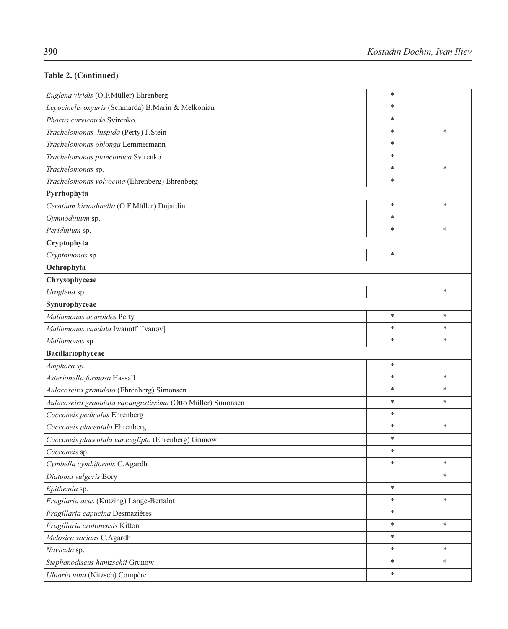# **Table 2. (Continued)**

| Euglena viridis (O.F.Müller) Ehrenberg                        | $\ast$ |        |
|---------------------------------------------------------------|--------|--------|
| Lepocinclis oxyuris (Schmarda) B.Marin & Melkonian            |        |        |
| Phacus curvicauda Svirenko                                    |        |        |
| Trachelomonas hispida (Perty) F.Stein                         | $\ast$ | $\ast$ |
| Trachelomonas oblonga Lemmermann                              | $\ast$ |        |
| Trachelomonas planctonica Svirenko                            | *      |        |
| Trachelomonas sp.                                             | $\ast$ | $\ast$ |
| Trachelomonas volvocina (Ehrenberg) Ehrenberg                 | $\ast$ |        |
| Pyrrhophyta                                                   |        |        |
| Ceratium hirundinella (O.F.Müller) Dujardin                   | $\ast$ | $\ast$ |
| Gymnodinium sp.                                               | *      |        |
| Peridinium sp.                                                | $\ast$ | $\ast$ |
| Cryptophyta                                                   |        |        |
| Cryptomonas sp.                                               | $\ast$ |        |
| Ochrophyta                                                    |        |        |
| Chrysophyceae                                                 |        |        |
| Uroglena sp.                                                  |        | *      |
| Synurophyceae                                                 |        |        |
| Mallomonas acaroides Perty                                    | $\ast$ | $\ast$ |
| Mallomonas caudata Iwanoff [Ivanov]                           | $\ast$ | $\ast$ |
| Mallomonas sp.                                                | $\ast$ | *      |
| Bacillariophyceae                                             |        |        |
| Amphora sp.                                                   | $\ast$ |        |
| Asterionella formosa Hassall                                  | $\ast$ | $\ast$ |
| Aulacoseira granulata (Ehrenberg) Simonsen                    | $\ast$ | $\ast$ |
| Aulacoseira granulata var.angustissima (Otto Müller) Simonsen | *      | *      |
| Cocconeis pediculus Ehrenberg                                 | $\ast$ |        |
| Cocconeis placentula Ehrenberg                                | $\ast$ | $\ast$ |
| Cocconeis placentula var.euglipta (Ehrenberg) Grunow          | $\ast$ |        |
| Cocconeis sp.                                                 | $\ast$ |        |
| Cymbella cymbiformis C.Agardh                                 | *      | *      |
| Diatoma vulgaris Bory                                         |        | $\ast$ |
| Epithemia sp.                                                 | $\ast$ |        |
| Fragilaria acus (Kützing) Lange-Bertalot                      | $\ast$ | $\ast$ |
| Fragillaria capucina Desmazières                              | $\ast$ |        |
| Fragillaria crotonensis Kitton                                | $\ast$ | $\ast$ |
| Melosira varians C.Agardh                                     | $\ast$ |        |
| Navicula sp.                                                  | $\ast$ | $\ast$ |
| Stephanodiscus hantzschii Grunow                              |        | *      |
| Ulnaria ulna (Nitzsch) Compère                                | $\ast$ |        |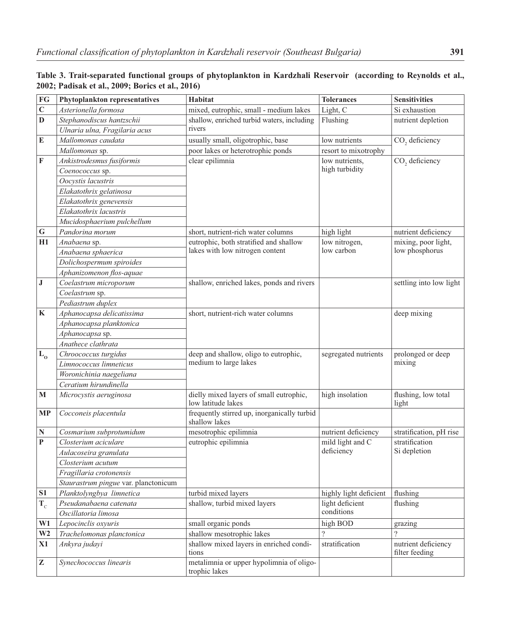| ${\bf FG}$              | Phytoplankton representatives        | Habitat                                                       | <b>Tolerances</b>      | <b>Sensitivities</b>                  |
|-------------------------|--------------------------------------|---------------------------------------------------------------|------------------------|---------------------------------------|
| $\mathbf C$             | Asterionella formosa                 | mixed, eutrophic, small - medium lakes                        | Light, C               | Si exhaustion                         |
| $\mathbf D$             | Stephanodiscus hantzschii            | shallow, enriched turbid waters, including                    | Flushing               | nutrient depletion                    |
|                         | Ulnaria ulna, Fragilaria acus        | rivers                                                        |                        |                                       |
| ${\bf E}$               | Mallomonas caudata                   | usually small, oligotrophic, base                             | low nutrients          | CO <sub>2</sub> deficiency            |
|                         | Mallomonas sp.                       | poor lakes or heterotrophic ponds                             | resort to mixotrophy   |                                       |
| $\mathbf F$             | Ankistrodesmus fusiformis            | clear epilimnia                                               | low nutrients,         | CO <sub>2</sub> deficiency            |
|                         | Coenococcus sp.                      |                                                               | high turbidity         |                                       |
|                         | Oocystis lacustris                   |                                                               |                        |                                       |
|                         | Elakatothrix gelatinosa              |                                                               |                        |                                       |
|                         | Elakatothrix genevensis              |                                                               |                        |                                       |
|                         | Elakatothrix lacustris               |                                                               |                        |                                       |
|                         | Mucidosphaerium pulchellum           |                                                               |                        |                                       |
| $\bf G$                 | Pandorina morum                      | short, nutrient-rich water columns                            | high light             | nutrient deficiency                   |
| H1                      | Anabaena sp.                         | eutrophic, both stratified and shallow                        | low nitrogen,          | mixing, poor light,                   |
|                         | Anabaena sphaerica                   | lakes with low nitrogen content                               | low carbon             | low phosphorus                        |
|                         | Dolichospermum spiroides             |                                                               |                        |                                       |
|                         | Aphanizomenon flos-aquae             |                                                               |                        |                                       |
| $\bf J$                 | Coelastrum microporum                | shallow, enriched lakes, ponds and rivers                     |                        | settling into low light               |
|                         | Coelastrum sp.                       |                                                               |                        |                                       |
|                         | Pediastrum duplex                    |                                                               |                        |                                       |
| $\bf K$                 | Aphanocapsa delicatissima            | short, nutrient-rich water columns                            |                        | deep mixing                           |
|                         | Aphanocapsa planktonica              |                                                               |                        |                                       |
|                         | Aphanocapsa sp.                      |                                                               |                        |                                       |
|                         | Anathece clathrata                   |                                                               |                        |                                       |
| $\mathbf{L}_\mathbf{0}$ | Chroococcus turgidus                 | deep and shallow, oligo to eutrophic,                         | segregated nutrients   | prolonged or deep                     |
|                         | Limnococcus limneticus               | medium to large lakes                                         |                        | mixing                                |
|                         | Woronichinia naegeliana              |                                                               |                        |                                       |
|                         | Ceratium hirundinella                |                                                               |                        |                                       |
| M                       | Microcystis aeruginosa               | dielly mixed layers of small eutrophic,<br>low latitude lakes | high insolation        | flushing, low total<br>light          |
| <b>MP</b>               | Cocconeis placentula                 | frequently stirred up, inorganically turbid<br>shallow lakes  |                        |                                       |
| ${\bf N}$               | Cosmarium subprotumidum              | mesotrophic epilimnia                                         | nutrient deficiency    | stratification, pH rise               |
| $\mathbf P$             | Closterium aciculare                 | eutrophic epilimnia                                           | mild light and C       | stratification                        |
|                         | Aulacoseira granulata                |                                                               | deficiency             | Si depletion                          |
|                         | Closterium acutum                    |                                                               |                        |                                       |
|                         | Fragillaria crotonensis              |                                                               |                        |                                       |
|                         | Staurastrum pingue var. planctonicum |                                                               |                        |                                       |
| S1                      | Planktolyngbya limnetica             | turbid mixed layers                                           | highly light deficient | flushing                              |
| $T_c$                   | Pseudanabaena catenata               | shallow, turbid mixed layers                                  | light deficient        | flushing                              |
|                         | Oscillatoria limosa                  |                                                               | conditions             |                                       |
| W1                      | Lepocinclis oxyuris                  | small organic ponds                                           | high BOD               | grazing                               |
| W <sub>2</sub>          | Trachelomonas planctonica            | shallow mesotrophic lakes                                     | $\overline{?}$         | $\gamma$                              |
| X1                      | Ankyra judayi                        | shallow mixed layers in enriched condi-<br>tions              | stratification         | nutrient deficiency<br>filter feeding |
| $\mathbf{Z}$            | Synechococcus linearis               | metalimnia or upper hypolimnia of oligo-<br>trophic lakes     |                        |                                       |

| Table 3. Trait-separated functional groups of phytoplankton in Kardzhali Reservoir (according to Reynolds et al., |  |
|-------------------------------------------------------------------------------------------------------------------|--|
| 2002; Padisak et al., 2009; Borics et al., 2016)                                                                  |  |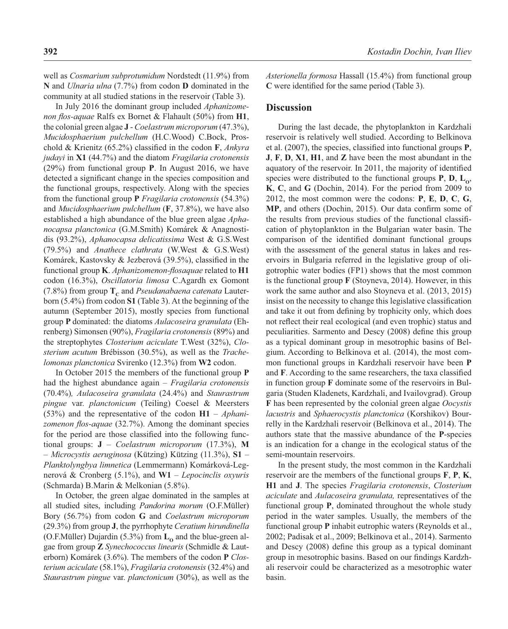well as *Cosmarium subprotumidum* Nordstedt (11.9%) from **N** and *Ulnaria ulna* (7.7%) from codon **D** dominated in the community at all studied stations in the reservoir (Table 3).

In July 2016 the dominant group included *Aphanizomenon flos-aquae* Ralfs ex Bornet & Flahault (50%) from **H1**, the colonial green algae **J** - *Coelastrum microporum* (47.3%), *Mucidosphaerium pulchellum* (H.C.Wood) C.Bock, Proschold & Krienitz (65.2%) classified in the codon **F**, *Ankyra judayi* in **X1** (44.7%) and the diatom *Fragilaria crotonensis*  (29%) from functional group **P**. In August 2016, we have detected a significant change in the species composition and the functional groups, respectively. Along with the species from the functional group **P** *Fragilaria crotonensis* (54.3%) and *Mucidosphaerium pulchellum* (**F**, 37.8%), we have also established a high abundance of the blue green algae *Aphanocapsa planctonica* (G.M.Smith) Komárek & Anagnostidis (93.2%), *Aphanocapsa delicatissima* West & G.S.West (79.5%) and *Anathece clathrata* (W.West & G.S.West) Komárek, Kastovsky & Jezberová (39.5%), classified in the functional group K. *Aphanizomenon-flosaquae* related to H1 codon (16.3%), *Oscillatoria limosa* C.Agardh ex Gomont  $(7.8\%)$  from group  $T_c$  and *Pseudanabaena catenata* Lauterborn (5.4%) from codon **S1** (Table 3). At the beginning of the autumn (September 2015), mostly species from functional group **P** dominated: the diatoms *Aulacoseira granulata* (Ehrenberg) Simonsen (90%), *Fragilaria crotonensis* (89%) and the streptophytes *Closterium aciculate* T.West (32%), *Closterium acutum* Brébisson (30.5%), as well as the *Trachelomonas planctonica* Svirenko (12.3%) from **W2** codon.

In October 2015 the members of the functional group **P** had the highest abundance again – *Fragilaria crotonensis* (70.4%)*, Aulacoseira granulata* (24.4%) and *Staurastrum pingue* var. *planctonicum* (Teiling) Coesel & Meersters (53%) and the representative of the codon **H1** – *Aphani*zomenon flos-aquae (32.7%). Among the dominant species for the period are those classified into the following functional groups: **J** – *Coelastrum microporum* (17.3%), **M**  – *Microcystis aeruginosa* (Kützing) Kützing (11.3%), **S1** – *Planktolyngbya limnetica* (Lemmermann) Komárková-Legnerová & Cronberg (5.1%), and **W1** – *Lepocinclis oxyuris* (Schmarda) B.Marin & Melkonian (5.8%).

In October, the green algae dominated in the samples at all studied sites, including *Pandorina morum* (O.F.Müller) Bory (56.7%) from codon **G** and *Coelastrum microporum* (29.3%) from group **J**, the pyrrhophyte *Ceratium hirundinella* (O.F.Müller) Dujardin (5.3%) from  $L_0$  and the blue-green algae from group **Z** *Synechococcus linearis* (Schmidle & Lauterborn) Komárek (3.6%). The members of the codon **P** *Closterium aciculate* (58.1%), *Fragilaria crotonensis* (32.4%) and *Staurastrum pingue* var. *planctonicum* (30%), as well as the

*Asterionella formosa* Hassall (15.4%) from functional group **C** were identified for the same period (Table 3).

#### **Discussion**

During the last decade, the phytoplankton in Kardzhali reservoir is relatively well studied. According to Belkinova et al.  $(2007)$ , the species, classified into functional groups **P**, **J**, **F**, **D**, **X1**, **H1**, and **Z** have been the most abundant in the aquatory of the reservoir. In 2011, the majority of identified species were distributed to the functional groups  $P$ ,  $D$ ,  $L_0$ , **K**, **C**, and **G** (Dochin, 2014). For the period from 2009 to 2012, the most common were the codons: **P**, **E**, **D**, **C**, **G**, **MP**, and others (Dochin, 2015). Our data confirm some of the results from previous studies of the functional classification of phytoplankton in the Bulgarian water basin. The comparison of the identified dominant functional groups with the assessment of the general status in lakes and reservoirs in Bulgaria referred in the legislative group of oligotrophic water bodies (FP1) shows that the most common is the functional group **F** (Stoyneva, 2014). However, in this work the same author and also Stoyneva et al. (2013, 2015) insist on the necessity to change this legislative classification and take it out from defining by trophicity only, which does not reflect their real ecological (and even trophic) status and peculiarities. Sarmento and Descy (2008) define this group as a typical dominant group in mesotrophic basins of Belgium. According to Belkinova et al. (2014), the most common functional groups in Kardzhali reservoir have been **P** and **F**. According to the same researchers, the taxa classified in function group **F** dominate some of the reservoirs in Bulgaria (Studen Kladenets, Kardzhali, and Ivailovgrad). Group **F** has been represented by the colonial green algae *Oocystis lacustris* and *Sphaerocystis planctonica* (Korshikov) Bourrelly in the Kardzhali reservoir (Belkinova et al., 2014). The authors state that the massive abundance of the **P**-species is an indication for a change in the ecological status of the semi-mountain reservoirs.

In the present study, the most common in the Kardzhali reservoir are the members of the functional groups **F**, **P**, **K**, **H1** and **J**. The species *Fragilaria crotonensis*, *Closterium aciculate* and *Aulacoseira granulata,* representatives of the functional group **P**, dominated throughout the whole study period in the water samples. Usually, the members of the functional group **P** inhabit eutrophic waters (Reynolds et al., 2002; Padisak et al., 2009; Belkinova et al., 2014). Sarmento and Descy (2008) define this group as a typical dominant group in mesotrophic basins. Based on our findings Kardzhali reservoir could be characterized as a mesotrophic water basin.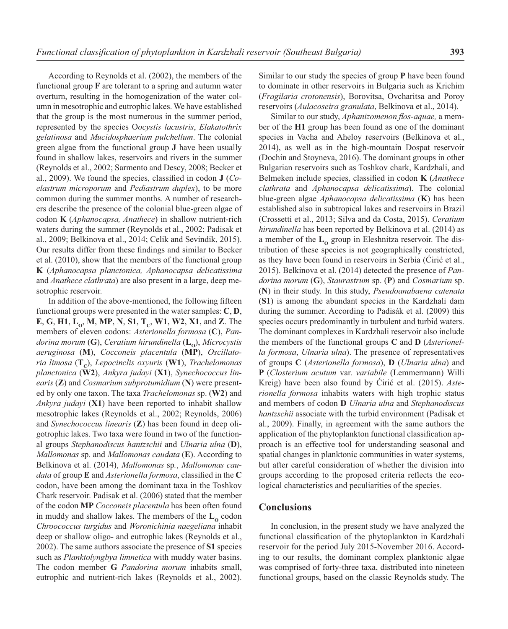According to Reynolds et al. (2002), the members of the functional group **F** are tolerant to a spring and autumn water overturn, resulting in the homogenization of the water column in mesotrophic and eutrophic lakes. We have established that the group is the most numerous in the summer period, represented by the species О*ocystis lacustris*, *Elakatothrix gelatinosa* and *Mucidosphaerium pulchellum*. The colonial green algae from the functional group **J** have been usually found in shallow lakes, reservoirs and rivers in the summer (Reynolds et al., 2002; Sarmento and Descy, 2008; Becker et al., 2009). We found the species, classified in codon **J** (*Coelastrum microporum* and *Pediastrum duplex*), to be more common during the summer months. A number of researchers describe the presence of the colonial blue-green algae of codon **K** (*Aphanocapsa, Anathece*) in shallow nutrient-rich waters during the summer (Reynolds et al., 2002; Padisak et al., 2009; Belkinova et al., 2014; Celik and Sevindik, 2015). Our results differ from these findings and similar to Becker et al. (2010), show that the members of the functional group **K** (*Aphanocapsa planctonica, Aphanocapsa delicatissima*  and *Anathece clathrata*) are also present in a large, deep mesotrophic reservoir.

In addition of the above-mentioned, the following fifteen functional groups were presented in the water samples: **C**, **D**, **E**, **G**, **H1**, **L**<sub>0</sub>, **M**, **MP**, **N**, **S1**, **T**<sub>c</sub>, **W1**, **W2**, **X1**, and **Z**. The members of eleven codons: *Asterionella formosa* (**C**), *Pandorina morum* (**G**), *Ceratium hirundinella* (**L**<sub>o</sub>), *Microcystis aeruginosa* (**M**), *Cocconeis placentula* (**MP**), *Oscillatoria limosa* ( $T_c$ ), *Lepocinclis oxyuris* (W1), *Trachelomonas planctonica* (**W2**), *Ankyra judayi* (**X1**), *Synechococcus linearis* (**Z**) and *Сosmarium subprotumidium* (**N**) were presented by only one taxon. The taxa *Trachelomonas* sp. (**W2**) and *Ankyra judayi* (**X1**) have been reported to inhabit shallow mesotrophic lakes (Reynolds et al., 2002; Reynolds, 2006) and *Synechococcus linearis* (**Z**) has been found in deep oligotrophic lakes. Two taxa were found in two of the functional groups *Stephanodiscus hantzschii* and *Ulnaria ulna* (**D**), *Mallomonas* sp*.* and *Mallomonas caudata* (**E**). According to Belkinova et al. (2014), *Mallomonas* sp*.*, *Mallomonas caudata* of group **E** and *Asterionella formosa*, classified in the **C** codon, have been among the dominant taxa in the Toshkov Chark reservoir. Padisak et al. (2006) stated that the member of the codon **MP** *Cocconeis placentula* has been often found in muddy and shallow lakes. The members of the L<sub>o</sub> codon *Chroococcus turgidus* and *Woronichinia naegeliana* inhabit deep or shallow oligo- and eutrophic lakes (Reynolds et al., 2002). The same authors associate the presence of **S1** species such as *Planktolyngbya limnetica* with muddy water basins. The codon member **G** *Pandorina morum* inhabits small, eutrophic and nutrient-rich lakes (Reynolds et al., 2002). Similar to our study the species of group **P** have been found to dominate in other reservoirs in Bulgaria such as Krichim (*Fragilaria crotonensis*), Borovitsa, Ovcharitsa and Poroy reservoirs (*Aulacoseira granulata*, Belkinova et al., 2014).

Similar to our study, *Aphanizomenon flos-aquae*, a member of the **H1** group has been found as one of the dominant species in Vacha and Aheloy reservoirs (Belkinova et al., 2014), as well as in the high-mountain Dospat reservoir (Dochin and Stoyneva, 2016). The dominant groups in other Bulgarian reservoirs such as Toshkov chark, Kardzhali, and Belmeken include species, classified in codon **K** (*Anathece clathrata* and *Aphanocapsa delicatissima*). The colonial blue-green algae *Aphanocapsa delicatissima* (**K**) has been established also in subtropical lakes and reservoirs in Brazil (Crossetti et al., 2013; Silva and da Costa, 2015). *Сeratium hirundinella* has been reported by Belkinova et al. (2014) as a member of the  $L_0$  group in Eleshnitza reservoir. The distribution of these species is not geographically constricted, as they have been found in reservoirs in Serbia (Ćirić et al., 2015). Belkinova et al. (2014) detected the presence of *Pandorina morum* (**G**), *Staurastrum* sp. (**P**) and *Cosmarium* sp. (**N**) in their study. In this study, *Pseudoanabaena catenata* (**S1**) is among the abundant species in the Kardzhali dam during the summer. According to Padisák et al. (2009) this species occurs predominantly in turbulent and turbid waters. The dominant complexes in Kardzhali reservoir also include the members of the functional groups **C** and **D** (*Asterionella formosa*, *Ulnaria ulna*). The presence of representatives of groups **C** (*Asterionella formosa*), **D** (*Ulnaria ulna*) and **P** (*Closterium acutum* var. *variabile* (Lemmermann) Willi Kreig) have been also found by Ćirić et al. (2015). *Asterionella formosa* inhabits waters with high trophic status and members of codon **D** *Ulnaria ulna* and *Stephanodiscus hantzschii* associate with the turbid environment (Padisak et al., 2009). Finally, in agreement with the same authors the application of the phytoplankton functional classification approach is an effective tool for understanding seasonal and spatial changes in planktonic communities in water systems, but after careful consideration of whether the division into groups according to the proposed criteria reflects the ecological characteristics and peculiarities of the species.

### **Conclusions**

In conclusion, in the present study we have analyzed the functional classification of the phytoplankton in Kardzhali reservoir for the period July 2015-November 2016. According to our results, the dominant complex planktonic algae was comprised of forty-three taxa, distributed into nineteen functional groups, based on the classic Reynolds study. The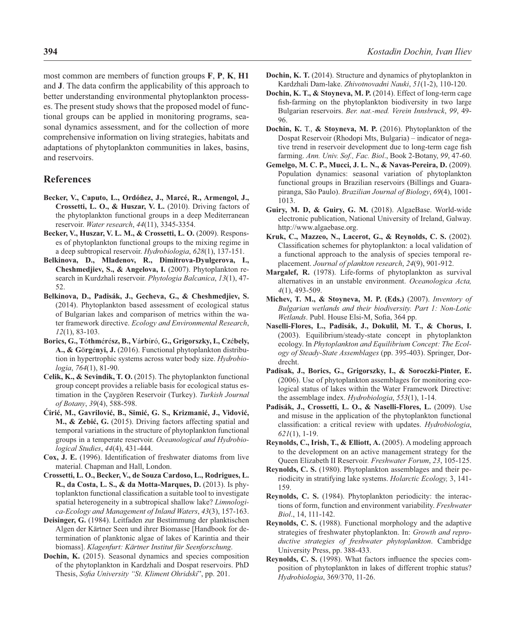most common are members of function groups **F**, **P**, **K**, **H1** and **J**. The data confirm the applicability of this approach to better understanding environmental phytoplankton processes. The present study shows that the proposed model of functional groups can be applied in monitoring programs, seasonal dynamics assessment, and for the collection of more comprehensive information on living strategies, habitats and adaptations of phytoplankton communities in lakes, basins, and reservoirs.

# **References**

- **Becker, V., Caputo, L., Ordóñez, J., Marcé, R., Armengol, J., Crossetti, L. O., & Huszar, V. L.** (2010). Driving factors of the phytoplankton functional groups in a deep Mediterranean reservoir. *Water research*, *44*(11), 3345-3354.
- **Becker, V., Huszar, V. L. M., & Crossetti, L. O.** (2009). Responses of phytoplankton functional groups to the mixing regime in a deep subtropical reservoir. *Hydrobiologia*, *628*(1), 137-151.
- **Belkinova, D., Mladenov, R., Dimitrova-Dyulgerova, I., Cheshmedjiev, S., & Angelova, I.** (2007). Phytoplankton research in Kurdzhali reservoir. *Phytologia Balcanica*, *13*(1), 47- 52.
- **Belkinova, D., Padisák, J., Gecheva, G., & Cheshmedjiev, S.** (2014). Phytoplankton based assessment of ecological status of Bulgarian lakes and comparison of metrics within the water framework directive. *Ecology and Environmental Research*, *12*(1), 83-103.
- **Borics, G., T**ó**thm**é**r**é**sz, B., V**á**rb**í**r**ó, **G., Grigorszky, I., Cz**é**bely, A., & G**ö**rg**é**nyi, J.** (2016). Functional phytoplankton distribution in hypertrophic systems across water body size. *Hydrobiologia*, *764*(1), 81-90.
- **Celik, K., & Sevindik, T. O.** (2015). The phytoplankton functional group concept provides a reliable basis for ecological status estimation in the Çaygören Reservoir (Turkey). *Turkish Journal of Botany*, *39*(4), 588-598.
- **Ćirić, M., Gavrilović, B., Simić, G. S., Krizmanić, J., Vidović, M., & Zebić, G.** (2015). Driving factors affecting spatial and temporal variations in the structure of phytoplankton functional groups in a temperate reservoir. *Oceanological and Hydrobiological Studies*, *44*(4), 431-444.
- **Cox, J. E.** (1996). Identification of freshwater diatoms from live material. Chapman and Hall, London.
- **Crossetti, L. O., Becker, V., de Souza Cardoso, L., Rodrigues, L. R., da Costa, L. S., & da Motta-Marques, D.** (2013). Is phytoplankton functional classification a suitable tool to investigate spatial heterogeneity in a subtropical shallow lake? *Limnologica-Ecology and Management of Inland Waters*, *43*(3), 157-163.
- **Deisinger, G.** (1984). Leitfaden zur Bestimmung der planktischen Algen der Kärtner Seen und ihrer Biomasse [Handbook for determination of planktonic algae of lakes of Karintia and their biomass]. *Klagenfurt: Kärtner Institut für Seenforschung*.
- **Dochin, K.** (2015). Seasonal dynamics and species composition of the phytoplankton in Kardzhali and Dospat reservoirs. PhD Thesis, *Sofia University "St. Kliment Ohridski*", pp. 201.
- **Dochin, K. T.** (2014). Structure and dynamics of phytoplankton in Kardzhali Dam-lake. *Zhivotnovadni Nauki*, *51*(1-2), 110-120.
- Dochin, K. T., & Stoyneva, M. P. (2014). Effect of long-term cage fish-farming on the phytoplankton biodiversity in two large Bulgarian reservoirs. *Ber. nat.-med. Verein Innsbruck*, *99*, 49- 96.
- **Dochin, К.** Т., **& Stoyneva, M. P.** (2016). Phytoplankton of the Dospat Reservoir (Rhodopi Mts, Bulgaria) – indicator of negative trend in reservoir development due to long-term cage fish farming. *Ann. Univ. Sof., Fac. Biol*., Book 2-Botany, *99*, 47-60.
- **Gemelgo, M. C. P., Mucci, J. L. N., & Navas-Pereira, D.** (2009). Population dynamics: seasonal variation of phytoplankton functional groups in Brazilian reservoirs (Billings and Guarapiranga, São Paulo). *Brazilian Journal of Biology*, *69*(4), 1001- 1013.
- **Guiry, M. D, & Guiry, G. M.** (2018). AlgaeBase. World-wide electronic publication, National University of Ireland, Galway. http://www.algaebase.org.
- **Kruk, C., Mazzeo, N., Lacerot, G., & Reynolds, C. S.** (2002). Classification schemes for phytoplankton: a local validation of a functional approach to the analysis of species temporal replacement. *Journal of plankton research*, *24*(9), 901-912.
- **Margalef, R.** (1978). Life-forms of phytoplankton as survival alternatives in an unstable environment. *Oceanologica Acta, 4*(1), 493-509.
- **Michev, T. M., & Stoyneva, M. P. (Eds.)** (2007). *Inventory of Bulgarian wetlands and their biodiversity. Part 1: Non-Lotic Wetlands*. Publ. House Elsi-M, Sofia, 364 pp.
- **Naselli-Flores, L., Padisák, J., Dokulil, M. T., & Chorus, I.** (2003). Equilibrium/steady-state concept in phytoplankton ecology. In *Phytoplankton and Equilibrium Concept: The Ecology of Steady-State Assemblages* (pp. 395-403). Springer, Dordrecht.
- **Padisak, J., Borics, G., Grigorszky, I., & Soroczki-Pinter, E.** (2006). Use of phytoplankton assemblages for monitoring ecological status of lakes within the Water Framework Directive: the assemblage index. *Hydrobiologia*, *553*(1), 1-14.
- **Padisák, J., Crossetti, L. O., & Naselli-Flores, L.** (2009). Use and misuse in the application of the phytoplankton functional classifi cation: a critical review with updates. *Hydrobiologia*, *621*(1), 1-19.
- **Reynolds, C., Irish, T., & Elliott, A.** (2005). A modeling approach to the development on an active management strategy for the Queen Elizabeth II Reservoir*. Freshwater Forum*, *23*, 105-125.
- **Reynolds, C. S.** (1980). Phytoplankton assemblages and their periodicity in stratifying lake systems. *Holarctic Ecology,* 3, 141- 159.
- **Reynolds, C. S.** (1984). Phytoplankton periodicity: the interactions of form, function and environment variability. *Freshwater Biol*., 14, 111-142.
- **Reynolds, C. S.** (1988). Functional morphology and the adaptive strategies of freshwater phytoplankton. In: *Growth and reproductive strategies of freshwater phytoplankton*. Cambridge University Press, pp. 388-433.
- **Reynolds, C. S.** (1998). What factors influence the species composition of phytoplankton in lakes of different trophic status? *Hydrobiologia*, 369/370, 11-26.